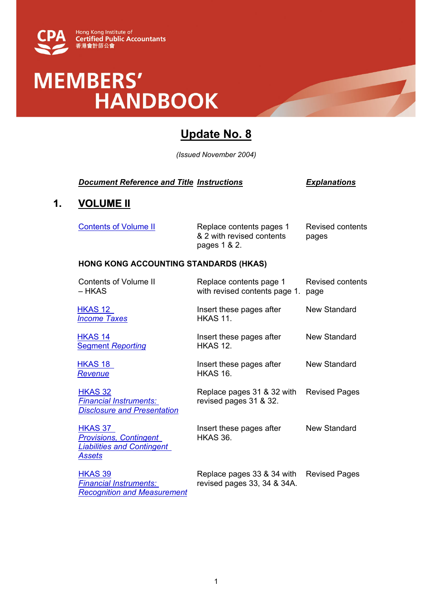

# MEMBERS'<br>HANDBOOK

## **Update No. 8**

*(Issued November 2004)* 

#### *Document Reference and Title Instructions Explanations*

### **1. VOLUME II**

| Contents of Volume II | Replace contents pages 1  | Revised contents |
|-----------------------|---------------------------|------------------|
|                       | & 2 with revised contents | pages            |
|                       | pages 1 & 2.              |                  |

#### **HONG KONG ACCOUNTING STANDARDS (HKAS)**

| <b>Contents of Volume II</b><br>– HKAS                                                         | Replace contents page 1<br>with revised contents page 1.  | Revised contents<br>page |
|------------------------------------------------------------------------------------------------|-----------------------------------------------------------|--------------------------|
| HKAS 12<br><b>Income Taxes</b>                                                                 | Insert these pages after<br><b>HKAS 11.</b>               | New Standard             |
| HKAS 14<br><b>Segment Reporting</b>                                                            | Insert these pages after<br><b>HKAS 12.</b>               | New Standard             |
| HKAS 18<br><u>Revenue</u>                                                                      | Insert these pages after<br><b>HKAS 16.</b>               | New Standard             |
| HKAS 32<br><b>Financial Instruments:</b><br><b>Disclosure and Presentation</b>                 | Replace pages 31 & 32 with<br>revised pages 31 & 32.      | <b>Revised Pages</b>     |
| HKAS 37<br><b>Provisions, Contingent</b><br><b>Liabilities and Contingent</b><br><u>Assets</u> | Insert these pages after<br>HKAS 36.                      | New Standard             |
| HKAS 39<br><b>Financial Instruments:</b><br><b>Recognition and Measurement</b>                 | Replace pages 33 & 34 with<br>revised pages 33, 34 & 34A. | <b>Revised Pages</b>     |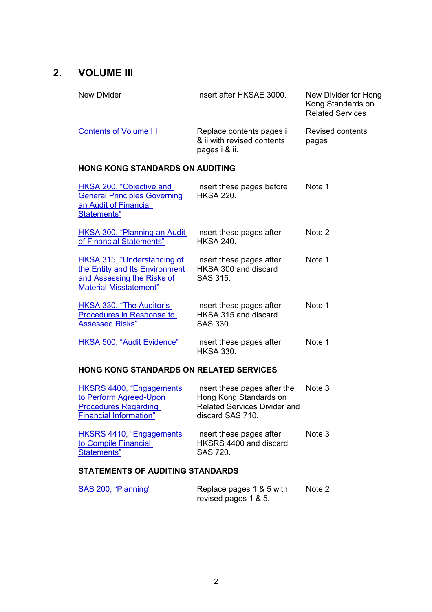## **2. VOLUME III**

| New Divider                                                                                             | Insert after HKSAE 3000.                                                | New Divider for Hong<br>Kong Standards on<br><b>Related Services</b> |  |
|---------------------------------------------------------------------------------------------------------|-------------------------------------------------------------------------|----------------------------------------------------------------------|--|
| <b>Contents of Volume III</b>                                                                           | Replace contents pages i<br>& ii with revised contents<br>pages i & ii. | Revised contents<br>pages                                            |  |
| <b>HONG KONG STANDARDS ON AUDITING</b>                                                                  |                                                                         |                                                                      |  |
| HKSA 200, "Objective and<br><b>General Principles Governing</b><br>an Audit of Financial<br>Statements" | Insert these pages before<br><b>HKSA 220.</b>                           | Note 1                                                               |  |

| HKSA 300, "Planning an Audit"<br>of Financial Statements"                                                                           | Insert these pages after<br><b>HKSA 240.</b>                 | Note 2 |
|-------------------------------------------------------------------------------------------------------------------------------------|--------------------------------------------------------------|--------|
| <b>HKSA 315, "Understanding of</b><br>the Entity and Its Environment<br>and Assessing the Risks of<br><b>Material Misstatement"</b> | Insert these pages after<br>HKSA 300 and discard<br>SAS 315. | Note 1 |
| HKSA 330, "The Auditor's<br>Procedures in Response to<br><b>Assessed Risks"</b>                                                     | Insert these pages after<br>HKSA 315 and discard<br>SAS 330. | Note 1 |
| HKSA 500, "Audit Evidence"                                                                                                          | Insert these pages after<br><b>HKSA 330.</b>                 | Note 1 |

#### **HONG KONG STANDARDS ON RELATED SERVICES**

| HKSRS 4400, "Engagements<br>to Perform Agreed-Upon<br><b>Procedures Regarding</b><br><b>Financial Information"</b> | Insert these pages after the<br>Hong Kong Standards on<br><b>Related Services Divider and</b><br>discard SAS 710. | Note 3 |
|--------------------------------------------------------------------------------------------------------------------|-------------------------------------------------------------------------------------------------------------------|--------|
| HKSRS 4410, "Engagements<br>to Compile Financial<br>Statements"                                                    | Insert these pages after<br>HKSRS 4400 and discard<br>SAS 720.                                                    | Note 3 |

#### **STATEMENTS OF AUDITING STANDARDS**

| SAS 200, "Planning" | Replace pages 1 & 5 with | Note 2 |
|---------------------|--------------------------|--------|
|                     | revised pages 1 & 5.     |        |